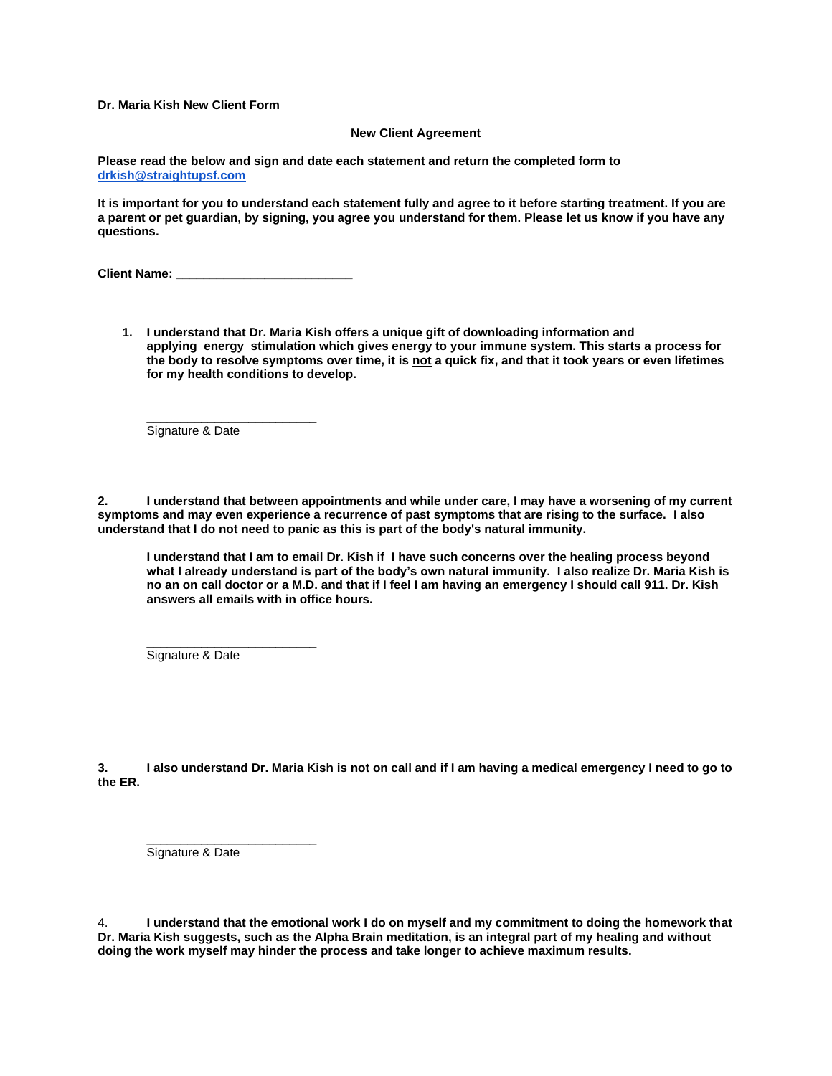**Dr. Maria Kish New Client Form**

## **New Client Agreement**

**Please read the below and sign and date each statement and return the completed form to [drkish@straightupsf.com](mailto:drmariakish@straightupsf.com)**

**It is important for you to understand each statement fully and agree to it before starting treatment. If you are a parent or pet guardian, by signing, you agree you understand for them. Please let us know if you have any questions.**

**Client Name: \_\_\_\_\_\_\_\_\_\_\_\_\_\_\_\_\_\_\_\_\_\_\_\_\_\_**

\_\_\_\_\_\_\_\_\_\_\_\_\_\_\_\_\_\_\_\_\_\_\_\_\_

**1. I understand that Dr. Maria Kish offers a unique gift of downloading information and applying energy stimulation which gives energy to your immune system. This starts a process for the body to resolve symptoms over time, it is not a quick fix, and that it took years or even lifetimes for my health conditions to develop.**

Signature & Date

**2. I understand that between appointments and while under care, I may have a worsening of my current symptoms and may even experience a recurrence of past symptoms that are rising to the surface. I also understand that I do not need to panic as this is part of the body's natural immunity.**

**I understand that I am to email Dr. Kish if I have such concerns over the healing process beyond what I already understand is part of the body's own natural immunity. I also realize Dr. Maria Kish is no an on call doctor or a M.D. and that if I feel I am having an emergency I should call 911. Dr. Kish answers all emails with in office hours.** 

Signature & Date

\_\_\_\_\_\_\_\_\_\_\_\_\_\_\_\_\_\_\_\_\_\_\_\_\_

\_\_\_\_\_\_\_\_\_\_\_\_\_\_\_\_\_\_\_\_\_\_\_\_\_

**3. I also understand Dr. Maria Kish is not on call and if I am having a medical emergency I need to go to the ER.**

Signature & Date

4. **I understand that the emotional work I do on myself and my commitment to doing the homework that Dr. Maria Kish suggests, such as the Alpha Brain meditation, is an integral part of my healing and without doing the work myself may hinder the process and take longer to achieve maximum results.**